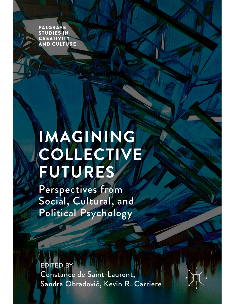GRA STUDIES IN **CREATIVITY D CULTURE** 

# **IMAGINING COLLECTIVE FUTURES**

Perspectives from Social, Cultural, and Political Psychology

EDITED BY Constance de Saint-Laurent, Sandra Obradović, Kevin R. Carriere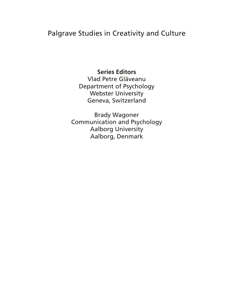#### Palgrave Studies in Creativity and Culture

**Series Editors** Vlad Petre Glăveanu Department of Psychology Webster University Geneva, Switzerland

Brady Wagoner Communication and Psychology Aalborg University Aalborg, Denmark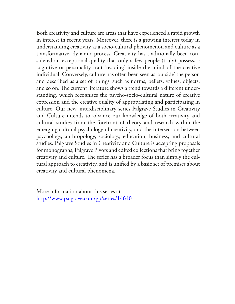Both creativity and culture are areas that have experienced a rapid growth in interest in recent years. Moreover, there is a growing interest today in understanding creativity as a socio-cultural phenomenon and culture as a transformative, dynamic process. Creativity has traditionally been considered an exceptional quality that only a few people (truly) possess, a cognitive or personality trait 'residing' inside the mind of the creative individual. Conversely, culture has often been seen as 'outside' the person and described as a set of 'things' such as norms, beliefs, values, objects, and so on. The current literature shows a trend towards a different understanding, which recognises the psycho-socio-cultural nature of creative expression and the creative quality of appropriating and participating in culture. Our new, interdisciplinary series Palgrave Studies in Creativity and Culture intends to advance our knowledge of both creativity and cultural studies from the forefront of theory and research within the emerging cultural psychology of creativity, and the intersection between psychology, anthropology, sociology, education, business, and cultural studies. Palgrave Studies in Creativity and Culture is accepting proposals for monographs, Palgrave Pivots and edited collections that bring together creativity and culture. The series has a broader focus than simply the cultural approach to creativity, and is unifed by a basic set of premises about creativity and cultural phenomena.

More information about this series at http://www.palgrave.com/gp/series/14640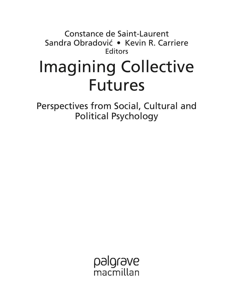Constance de Saint-Laurent Sandra Obradović • Kevin R. Carriere Editors

## Imagining Collective Futures

Perspectives from Social, Cultural and Political Psychology

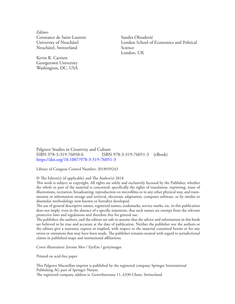*Editors* Constance de Saint-Laurent University of Neuchâtel Neuchâtel, Switzerland

Kevin R. Carriere Georgetown University Washington, DC, USA

Sandra Obradović London School of Economics and Political Science London, UK

Palgrave Studies in Creativity and Culture ISBN 978-3-319-76050-6 ISBN 978-3-319-76051-3 (eBook) https://doi.org/10.1007/978-3-319-76051-3

Library of Congress Control Number: 2018939243

 $\odot$  The Editor(s) (if applicable) and The Author(s) 2018

Tis work is subject to copyright. All rights are solely and exclusively licensed by the Publisher, whether the whole or part of the material is concerned, specifcally the rights of translation, reprinting, reuse of illustrations, recitation, broadcasting, reproduction on microflms or in any other physical way, and transmission or information storage and retrieval, electronic adaptation, computer software, or by similar or dissimilar methodology now known or hereafter developed.

The use of general descriptive names, registered names, trademarks, service marks, etc. in this publication does not imply, even in the absence of a specifc statement, that such names are exempt from the relevant protective laws and regulations and therefore free for general use.

The publisher, the authors, and the editors are safe to assume that the advice and information in this book are believed to be true and accurate at the date of publication. Neither the publisher nor the authors or the editors give a warranty, express or implied, with respect to the material contained herein or for any errors or omissions that may have been made. The publisher remains neutral with regard to jurisdictional claims in published maps and institutional afliations.

Cover illustration: Jerome Mor / EyeEm / gettyimages

Printed on acid-free paper

Tis Palgrave Macmillan imprint is published by the registered company Springer International Publishing AG part of Springer Nature.

The registered company address is: Gewerbestrasse 11, 6330 Cham, Switzerland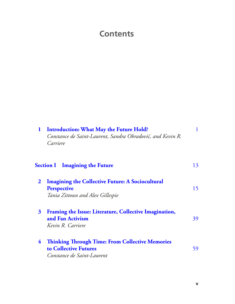## **Contents**

| $\mathbf 1$             | <b>Introduction: What May the Future Hold?</b><br>Constance de Saint-Laurent, Sandra Obradović, and Kevin R.<br>Carriere | 1  |
|-------------------------|--------------------------------------------------------------------------------------------------------------------------|----|
|                         | <b>Section I</b> Imagining the Future                                                                                    | 13 |
| $\mathbf{2}$            | <b>Imagining the Collective Future: A Sociocultural</b><br><b>Perspective</b><br>Tania Zittoun and Alex Gillespie        | 15 |
| $3^{\circ}$             | Framing the Issue: Literature, Collective Imagination,<br>and Fan Activism<br>Kevin R. Carriere                          | 39 |
| $\overline{\textbf{4}}$ | <b>Thinking Through Time: From Collective Memories</b><br>to Collective Futures<br>Constance de Saint-Laurent            | 59 |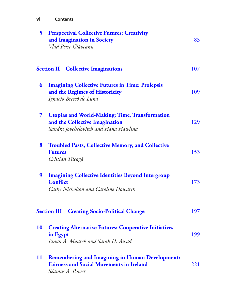| vi | <b>Contents</b>                                                                                                                  |     |
|----|----------------------------------------------------------------------------------------------------------------------------------|-----|
| 5  | <b>Perspectival Collective Futures: Creativity</b><br>and Imagination in Society<br>Vlad Petre Glăveanu                          | 83  |
|    | <b>Section II</b> Collective Imaginations                                                                                        | 107 |
| 6  | <b>Imagining Collective Futures in Time: Prolepsis</b><br>and the Regimes of Historicity<br>Ignacio Brescó de Luna               | 109 |
| 7  | <b>Utopias and World-Making: Time, Transformation</b><br>and the Collective Imagination<br>Sandra Jovchelovitch and Hana Hawlina | 129 |
| 8  | <b>Troubled Pasts, Collective Memory, and Collective</b><br><b>Futures</b><br>Cristian Tileagă                                   | 153 |
| 9  | <b>Imagining Collective Identities Beyond Intergroup</b><br><b>Conflict</b><br>Cathy Nicholson and Caroline Howarth              | 173 |
|    | <b>Creating Socio-Political Change</b><br><b>Section III</b>                                                                     | 197 |
| 10 | <b>Creating Alternative Futures: Cooperative Initiatives</b><br>in Egypt<br>Eman A. Maarek and Sarah H. Awad                     | 199 |
| 11 | <b>Remembering and Imagining in Human Development:</b><br><b>Fairness and Social Movements in Ireland</b><br>Séamus A. Power     | 221 |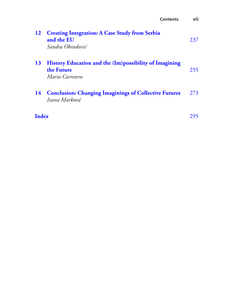|    | <b>Contents</b>                                                                                 | vii |
|----|-------------------------------------------------------------------------------------------------|-----|
| 12 | <b>Creating Integration: A Case Study from Serbia</b><br>and the EU<br>Sandra Obradović         | 237 |
| 13 | <b>History Education and the (Im) possibility of Imagining</b><br>the Future<br>Mario Carretero | 255 |
| 14 | <b>Conclusion: Changing Imaginings of Collective Futures</b><br>Ivana Marková                   | 273 |
|    | Index                                                                                           |     |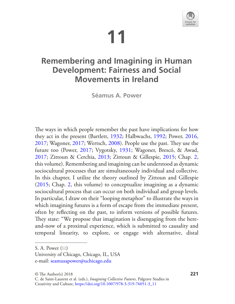# **11**



### **Remembering and Imagining in Human Development: Fairness and Social Movements in Ireland**

**Séamus A. Power**

The ways in which people remember the past have implications for how they act in the present (Bartlett, 1932; Halbwachs, 1992; Power, 2016,  $2017$ ; Wagoner,  $2017$ ; Wertsch,  $2008$ ). People use the past. They use the future too (Power, 2017; Vygotsky, 1931; Wagoner, Brescó, & Awad, 2017; Zittoun & Cerchia, 2013; Zittoun & Gillespie, 2015; Chap. 2, this volume). Remembering and imagining can be understood as dynamic sociocultural processes that are simultaneously individual and collective. In this chapter, I utilize the theory outlined by Zittoun and Gillespie (2015; Chap. 2, this volume) to conceptualize imagining as a dynamic sociocultural process that can occur on both individual and group levels. In particular, I draw on their "looping metaphor" to illustrate the ways in which imagining futures is a form of escape from the immediate present, often by refecting on the past, to inform versions of possible futures. They state: "We propose that imagination is disengaging from the hereand-now of a proximal experience, which is submitted to causality and temporal linearity, to explore, or engage with alternative, distal

S. A. Power  $(\boxtimes)$ 

University of Chicago, Chicago, IL, USA e-mail: seamusapower@uchicago.edu

C. de Saint-Laurent et al. (eds.), *Imagining Collective Futures*, Palgrave Studies in Creativity and Culture, https://doi.org/10.1007/978-3-319-76051-3\_11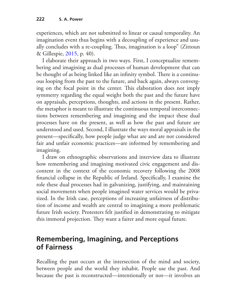experiences, which are not submitted to linear or causal temporality. An imagination event thus begins with a decoupling of experience and usually concludes with a re-coupling. Thus, imagination is a loop" (Zittoun & Gillespie, 2015, p. 40).

I elaborate their approach in two ways. First, I conceptualize remembering and imagining as dual processes of human development that can be thought of as being linked like an infinity symbol. There is a continuous looping from the past to the future, and back again, always converging on the focal point in the center. This elaboration does not imply symmetry regarding the equal weight both the past and the future have on appraisals, perceptions, thoughts, and actions in the present. Rather, the metaphor is meant to illustrate the continuous temporal interconnections between remembering and imagining and the impact these dual processes have on the present, as well as how the past and future are understood and used. Second, I illustrate the ways moral appraisals in the present—specifcally, how people judge what are and are not considered fair and unfair economic practices—are informed by remembering and imagining.

I draw on ethnographic observations and interview data to illustrate how remembering and imagining motivated civic engagement and discontent in the context of the economic recovery following the 2008 fnancial collapse in the Republic of Ireland. Specifcally, I examine the role these dual processes had in galvanizing, justifying, and maintaining social movements when people imagined water services would be privatized. In the Irish case, perceptions of increasing unfairness of distribution of income and wealth are central to imagining a more problematic future Irish society. Protesters felt justifed in demonstrating to mitigate this immoral projection. They want a fairer and more equal future.

#### **Remembering, Imagining, and Perceptions of Fairness**

Recalling the past occurs at the intersection of the mind and society, between people and the world they inhabit. People use the past. And because the past is reconstructed—intentionally or not—it involves an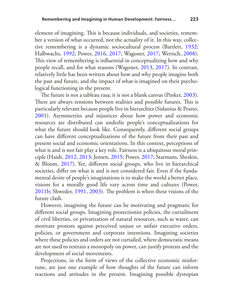element of imagining. This is because individuals, and societies, remember a version of what occurred, not the actuality of it. In this way, collective remembering is a dynamic sociocultural process (Bartlett, 1932; Halbwachs, 1992; Power, 2016, 2017; Wagoner, 2017; Wertsch, 2008). This view of remembering is influential in conceptualizing how and why people recall, and for what reasons (Wagoner, 2013, 2017). In contrast, relatively little has been written about how and why people imagine both the past and future, and the impact of what is imagined on their psychological functioning in the present.

The future is not a tableau rasa; it is not a blank canvas (Pinker, 2003). There are always tensions between realities and possible futures. This is particularly relevant because people live in hierarchies (Sidanius & Pratto, 2001). Asymmetries and injustices about how power and economic resources are distributed can underlie people's conceptualizations for what the future should look like. Consequently, diferent social groups can have diferent conceptualizations of the future from their past and present social and economic orientations. In this context, perceptions of what is and is not fair play a key role. Fairness is a ubiquitous moral principle (Haidt, 2012, 2013; Jensen, 2015; Power, 2017; Starmans, Sheskin, & Bloom, 2017). Yet, diferent social groups, who live in hierarchical societies, difer on what is and is not considered fair. Even if the fundamental desire of people's imaginations is to make the world a better place, visions for a morally good life vary across time and cultures (Power, 2011b; Shweder, 1991, 2003). The problem is when these visions of the future clash.

However, imagining the future can be motivating and pragmatic for diferent social groups. Imagining protectionist policies, the curtailment of civil liberties, or privatization of natural resources, such as water, can motivate protests against perceived unjust or unfair executive orders, policies, or government and corporate intentions. Imagining societies where these policies and orders are not curtailed, where democratic means are not used to restrain a monopoly on power, can justify protests and the development of social movements.

Projections, in the form of views of the collective economic misfortune, are just one example of how thoughts of the future can inform reactions and attitudes in the present. Imagining possible dystopian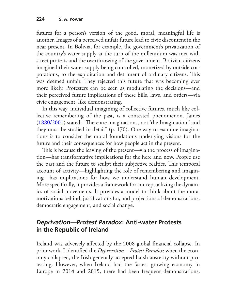futures for a person's version of the good, moral, meaningful life is another. Images of a perceived unfair future lead to civic discontent in the near present. In Bolivia, for example, the government's privatization of the country's water supply at the turn of the millennium was met with street protests and the overthrowing of the government. Bolivian citizens imagined their water supply being controlled, monetized by outside corporations, to the exploitation and detriment of ordinary citizens. This was deemed unfair. They rejected this future that was becoming ever more likely. Protesters can be seen as modulating the decisions—and their perceived future implications of these bills, laws, and orders—via civic engagement, like demonstrating.

In this way, individual imagining of collective futures, much like collective remembering of the past, is a contested phenomenon. James  $(1880/2001)$  stated: "There are imaginations, not 'the Imagination,' and they must be studied in detail" (p. 170). One way to examine imaginations is to consider the moral foundations underlying visions for the future and their consequences for how people act in the present.

This is because the leaving of the present—via the process of imagination—has transformative implications for the here and now. People use the past and the future to sculpt their subjective realties. This temporal account of activity—highlighting the role of remembering and imagining—has implications for how we understand human development. More specifcally, it provides a framework for conceptualizing the dynamics of social movements. It provides a model to think about the moral motivations behind, justifcations for, and projections of demonstrations, democratic engagement, and social change.

#### *Deprivation—Protest Paradox***: Anti-water Protests in the Republic of Ireland**

Ireland was adversely afected by the 2008 global fnancial collapse. In prior work, I identifed the *Deprivation*—*Protest Paradox*: when the economy collapsed, the Irish generally accepted harsh austerity without protesting. However, when Ireland had the fastest growing economy in Europe in 2014 and 2015, there had been frequent demonstrations,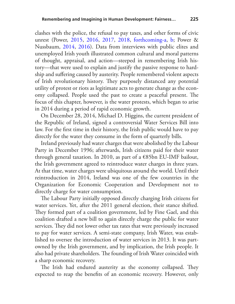clashes with the police, the refusal to pay taxes, and other forms of civic unrest (Power, 2015, 2016, 2017, 2018, forthcoming-a, b; Power & Nussbaum, 2014, 2016). Data from interviews with public elites and unemployed Irish youth illustrated common cultural and moral patterns of thought, appraisal, and action—steeped in remembering Irish history—that were used to explain and justify the passive response to hardship and sufering caused by austerity. People remembered violent aspects of Irish revolutionary history. They purposely distanced any potential utility of protest or riots as legitimate acts to generate change as the economy collapsed. People used the past to create a peaceful present. The focus of this chapter, however, is the water protests, which began to arise in 2014 during a period of rapid economic growth.

On December 28, 2014, Michael D. Higgins, the current president of the Republic of Ireland, signed a controversial Water Services Bill into law. For the frst time in their history, the Irish public would have to pay directly for the water they consume in the form of quarterly bills.

Ireland previously had water charges that were abolished by the Labour Party in December 1996; afterwards, Irish citizens paid for their water through general taxation. In 2010, as part of a €85bn EU-IMF bailout, the Irish government agreed to reintroduce water charges in three years. At that time, water charges were ubiquitous around the world. Until their reintroduction in 2014, Ireland was one of the few countries in the Organization for Economic Cooperation and Development not to directly charge for water consumption.

The Labour Party initially opposed directly charging Irish citizens for water services. Yet, after the 2011 general election, their stance shifted. They formed part of a coalition government, led by Fine Gael, and this coalition drafted a new bill to again directly charge the public for water services. They did not lower other tax rates that were previously increased to pay for water services. A semi-state company, Irish Water, was established to oversee the introduction of water services in 2013. It was partowned by the Irish government, and by implication, the Irish people. It also had private shareholders. The founding of Irish Water coincided with a sharp economic recovery.

The Irish had endured austerity as the economy collapsed. They expected to reap the benefts of an economic recovery. However, only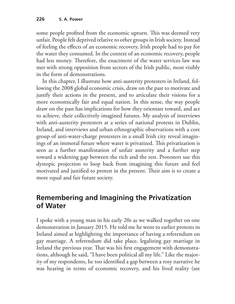some people profited from the economic upturn. This was deemed very unfair. People felt deprived relative to other groups in Irish society. Instead of feeling the efects of an economic recovery, Irish people had to pay for the water they consumed. In the context of an economic recovery, people had less money. Therefore, the enactment of the water services law was met with strong opposition from sectors of the Irish public, most visibly in the form of demonstrations.

In this chapter, I illustrate how anti-austerity protesters in Ireland, following the 2008 global economic crisis, draw on the past to motivate and justify their actions in the present, and to articulate their visions for a more economically fair and equal nation. In this sense, the way people draw on the past has implications for how they orientate toward, and act to achieve, their collectively imagined futures. My analysis of interviews with anti-austerity protesters at a series of national protests in Dublin, Ireland, and interviews and urban ethnographic observations with a core group of anti-water-charge protesters in a small Irish city reveal imaginings of an immoral future where water is privatized. This privatization is seen as a further manifestation of unfair austerity and a further step toward a widening gap between the rich and the rest. Protesters use this dystopic projection to loop back from imagining this future and feel motivated and justified to protest in the present. Their aim is to create a more equal and fair future society.

#### **Remembering and Imagining the Privatization of Water**

I spoke with a young man in his early 20s as we walked together on one demonstration in January 2015. He told me he went to earlier protests in Ireland aimed at highlighting the importance of having a referendum on gay marriage. A referendum did take place, legalizing gay marriage in Ireland the previous year. That was his first engagement with demonstrations, although he said, "I have been political all my life." Like the majority of my respondents, he too identifed a gap between a rosy narrative he was hearing in terms of economic recovery, and his lived reality (see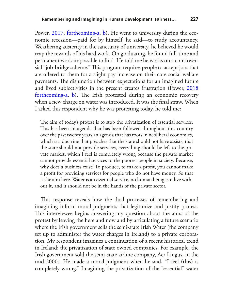Power, 2017, forthcoming-a, b). He went to university during the economic recession—paid for by himself, he said—to study accountancy. Weathering austerity in the sanctuary of university, he believed he would reap the rewards of his hard work. On graduating, he found full-time and permanent work impossible to fnd. He told me he works on a controversial "job-bridge scheme." This program requires people to accept jobs that are offered to them for a slight pay increase on their core social welfare payments. The disjunction between expectations for an imagined future and lived subjectivities in the present creates frustration (Power, 2018 forthcoming-a, b). The Irish protested during an economic recovery when a new charge on water was introduced. It was the fnal straw. When I asked this respondent why he was protesting today, he told me:

The aim of today's protest is to stop the privatization of essential services. This has been an agenda that has been followed throughout this country over the past twenty years an agenda that has roots in neoliberal economics, which is a doctrine that preaches that the state should not have assists, that the state should not provide services, everything should be left to the private market, which I feel is completely wrong because the private market cannot provide essential services to the poorest people in society. Because, why does a business exist? To produce, to make a proft, you cannot make a proft for providing services for people who do not have money. So that is the aim here. Water is an essential service, no human being can live without it, and it should not be in the hands of the private sector.

This response reveals how the dual processes of remembering and imagining inform moral judgments that legitimize and justify protest. This interviewee begins answering my question about the aims of the protest by leaving the here and now and by articulating a future scenario where the Irish government sells the semi-state Irish Water (the company set up to administer the water charges in Ireland) to a private corporation. My respondent imagines a continuation of a recent historical trend in Ireland: the privatization of state owned companies. For example, the Irish government sold the semi-state airline company, Aer Lingus, in the mid-2000s. He made a moral judgment when he said, "I feel (this) is completely wrong." Imagining the privatization of the "essential" water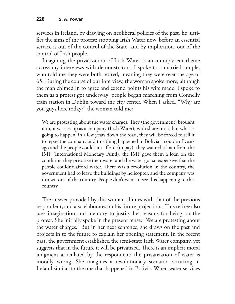services in Ireland, by drawing on neoliberal policies of the past, he justifes the aims of the protest: stopping Irish Water now, before an essential service is out of the control of the State, and by implication, out of the control of Irish people.

Imagining the privatization of Irish Water is an omnipresent theme across my interviews with demonstrators. I spoke to a married couple, who told me they were both retired, meaning they were over the age of 65. During the course of our interview, the woman spoke more, although the man chimed in to agree and extend points his wife made. I spoke to them as a protest got underway: people began marching from Connelly train station in Dublin toward the city center. When I asked, "Why are you guys here today?" the woman told me:

We are protesting about the water charges. They (the government) brought it in, it was set up as a company (Irish Water), with shares in it, but what is going to happen, in a few years down the road, they will be forced to sell it to repay the company and this thing happened in Bolivia a couple of years ago and the people could not aford (to pay), they wanted a loan from the IMF (International Monetary Fund), the IMF gave them a loan on the condition they privatize their water and the water got so expensive that the people couldn't afford water. There was a revolution in the country, the government had to leave the buildings by helicopter, and the company was thrown out of the country. People don't want to see this happening to this country.

The answer provided by this woman chimes with that of the previous respondent, and also elaborates on his future projections. This retiree also uses imagination and memory to justify her reasons for being on the protest. She initially spoke in the present tense: "We are protesting about the water charges." But in her next sentence, she draws on the past and projects in to the future to explain her opening statement. In the recent past, the government established the semi-state Irish Water company, yet suggests that in the future it will be privatized. There is an implicit moral judgment articulated by the respondent: the privatization of water is morally wrong. She imagines a revolutionary scenario occurring in Ireland similar to the one that happened in Bolivia. When water services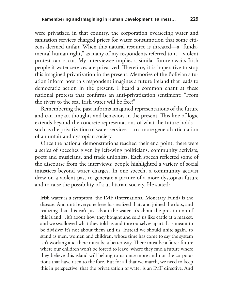were privatized in that country, the corporation overseeing water and sanitation services charged prices for water consumption that some citizens deemed unfair. When this natural resource is threated—a "fundamental human right," as many of my respondents referred to it—violent protest can occur. My interviewee implies a similar future awaits Irish people if water services are privatized. Therefore, it is imperative to stop this imagined privatization in the present. Memories of the Bolivian situation inform how this respondent imagines a future Ireland that leads to democratic action in the present. I heard a common chant at these national protests that confrms an anti-privatization sentiment: "From the rivers to the sea, Irish water will be free!"

Remembering the past informs imagined representations of the future and can impact thoughts and behaviors in the present. This line of logic extends beyond the concrete representations of what the future holds such as the privatization of water services—to a more general articulation of an unfair and dystopian society.

Once the national demonstrations reached their end point, there were a series of speeches given by left-wing politicians, community activists, poets and musicians, and trade unionists. Each speech refected some of the discourse from the interviews: people highlighted a variety of social injustices beyond water charges. In one speech, a community activist drew on a violent past to generate a picture of a more dystopian future and to raise the possibility of a utilitarian society. He stated:

Irish water is a symptom, the IMF (International Monetary Fund) is the disease. And until everyone here has realized that, and joined the dots, and realizing that this isn't just about the water, it's about the prostitution of this island…it's about how they bought and sold us like cattle at a market, and we swallowed what they told us and tore ourselves apart. It is meant to be divisive; it's not about them and us. Instead we should unite again, to stand as men, women and children, whose time has come to say the system isn't working and there must be a better way. There must be a fairer future where our children won't be forced to leave, where they fnd a future where they believe this island will belong to us once more and not the corporations that have risen to the fore. But for all that we march, we need to keep this in perspective: that the privatization of water is an IMF directive. And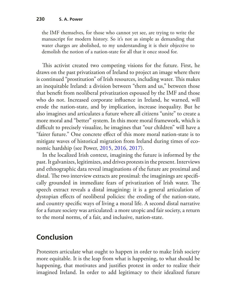the IMF themselves, for those who cannot yet see, are trying to write the manuscript for modern history. So it's not as simple as demanding that water charges are abolished, to my understanding it is their objective to demolish the notion of a nation-state for all that it once stood for.

This activist created two competing visions for the future. First, he draws on the past privatization of Ireland to project an image where there is continued "prostitution" of Irish resources, including water. This makes an inequitable Ireland: a division between "them and us," between those that beneft from neoliberal privatization espoused by the IMF and those who do not. Increased corporate infuence in Ireland, he warned, will erode the nation-state, and by implication, increase inequality. But he also imagines and articulates a future where all citizens "unite" to create a more moral and "better" system. In this more moral framework, which is difficult to precisely visualize, he imagines that "our children" will have a "fairer future." One concrete efect of this more moral nation-state is to mitigate waves of historical migration from Ireland during times of economic hardship (see Power, 2015, 2016, 2017).

In the localized Irish context, imagining the future is informed by the past. It galvanizes, legitimizes, and drives protests in the present. Interviews and ethnographic data reveal imaginations of the future are proximal and distal. The two interview extracts are proximal: the imaginings are specifically grounded in immediate fears of privatization of Irish water. The speech extract reveals a distal imagining: it is a general articulation of dystopian efects of neoliberal policies: the eroding of the nation-state, and country specifc ways of living a moral life. A second distal narrative for a future society was articulated: a more utopic and fair society, a return to the moral norms, of a fair, and inclusive, nation-state.

#### **Conclusion**

Protesters articulate what ought to happen in order to make Irish society more equitable. It is the leap from what is happening, to what should be happening, that motivates and justifes protest in order to realize their imagined Ireland. In order to add legitimacy to their idealized future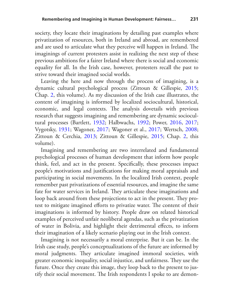society, they locate their imaginations by detailing past examples where privatization of resources, both in Ireland and abroad, are remembered and are used to articulate what they perceive will happen in Ireland. The imaginings of current protesters assist in realizing the next step of these previous ambitions for a fairer Ireland where there is social and economic equality for all. In the Irish case, however, protesters recall the past to strive toward their imagined social worlds.

Leaving the here and now through the process of imagining, is a dynamic cultural psychological process (Zittoun & Gillespie, 2015; Chap. 2, this volume). As my discussion of the Irish case illustrates, the content of imagining is informed by localized sociocultural, historical, economic, and legal contexts. The analysis dovetails with previous research that suggests imagining and remembering are dynamic sociocultural processes (Bartlett, 1932; Halbwachs, 1992; Power, 2016, 2017; Vygotsky, 1931; Wagoner, 2017; Wagoner et al., 2017; Wertsch, 2008; Zittoun & Cerchia, 2013; Zittoun & Gillespie, 2015; Chap. 2, this volume).

Imagining and remembering are two interrelated and fundamental psychological processes of human development that inform how people think, feel, and act in the present. Specifcally, these processes impact people's motivations and justifcations for making moral appraisals and participating in social movements. In the localized Irish context, people remember past privatizations of essential resources, and imagine the same fate for water services in Ireland. They articulate these imaginations and loop back around from these projections to act in the present. They protest to mitigate imagined efforts to privatize water. The content of their imaginations is informed by history. People draw on related historical examples of perceived unfair neoliberal agendas, such as the privatization of water in Bolivia, and highlight their detrimental efects, to inform their imagination of a likely scenario playing out in the Irish context.

Imagining is not necessarily a moral enterprise. But it can be. In the Irish case study, people's conceptualizations of the future are informed by moral judgments. They articulate imagined immoral societies, with greater economic inequality, social injustice, and unfairness. They use the future. Once they create this image, they loop back to the present to justify their social movement. The Irish respondents I spoke to are demon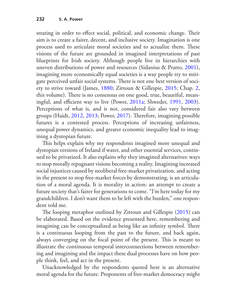strating in order to effect social, political, and economic change. Their aim is to create a fairer, decent, and inclusive society. Imagination is one process used to articulate moral societies and to actualize them. These visions of the future are grounded in imagined interpretations of past blueprints for Irish society. Although people live in hierarchies with uneven distributions of power and resources (Sidanius & Pratto, 2001), imagining more economically equal societies is a way people try to mitigate perceived unfair social systems. There is not one best version of society to strive toward (James, 1880; Zittoun & Gillespie, 2015; Chap. 2, this volume). There is no consensus on one good, true, beautiful, meaningful, and efficient way to live (Power, 2011a; Shweder, 1991, 2003). Perceptions of what is, and is not, considered fair also vary between groups (Haidt, 2012, 2013; Power, 2017). Terefore, imagining possible futures is a contested process. Perceptions of increasing unfairness, unequal power dynamics, and greater economic inequality lead to imagining a dystopian future.

This helps explain why my respondents imagined more unequal and dystopian versions of Ireland if water, and other essential services, continued to be privatized. It also explains why they imagined alternatives: ways to stop morally repugnant visions becoming a reality. Imagining increased social injustices caused by neoliberal free-market privatization, and acting in the present to stop free-market forces by demonstrating, is an articulation of a moral agenda. It is morality in action: an attempt to create a future society that's fairer for generations to come. "I'm here today for my grandchildren. I don't want them to be left with the burden," one respondent told me.

The looping metaphor outlined by Zittoun and Gillespie (2015) can be elaborated. Based on the evidence presented here, remembering and imagining can be conceptualized as being like an infinity symbol. There is a continuous looping from the past to the future, and back again, always converging on the focal point of the present. This is meant to illustrate the continuous temporal interconnections between remembering and imagining and the impact these dual processes have on how people think, feel, and act in the present.

Unacknowledged by the respondents quoted here is an alternative moral agenda for the future. Proponents of free-market democracy might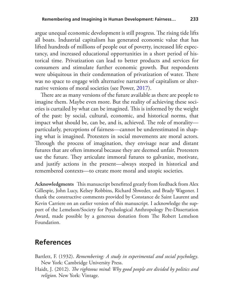argue unequal economic development is still progress. The rising tide lifts all boats. Industrial capitalism has generated economic value that has lifted hundreds of millions of people out of poverty, increased life expectancy, and increased educational opportunities in a short period of historical time. Privatization can lead to better products and services for consumers and stimulate further economic growth. But respondents were ubiquitous in their condemnation of privatization of water. There was no space to engage with alternative narratives of capitalism or alternative versions of moral societies (see Power, 2017).

There are as many versions of the future available as there are people to imagine them. Maybe even more. But the reality of achieving these societies is curtailed by what can be imagined. This is informed by the weight of the past: by social, cultural, economic, and historical norms, that impact what should be, can be, and is, achieved. The role of morality particularly, perceptions of fairness—cannot be underestimated in shaping what is imagined. Protesters in social movements are moral actors. Through the process of imagination, they envisage near and distant futures that are often immoral because they are deemed unfair. Protesters use the future. They articulate immoral futures to galvanize, motivate, and justify actions in the present—always steeped in historical and remembered contexts—to create more moral and utopic societies.

**Acknowledgments** This manuscript benefitted greatly from feedback from Alex Gillespie, John Lucy, Kelsey Robbins, Richard Shweder, and Brady Wagoner. I thank the constructive comments provided by Constance de Saint Laurent and Kevin Carriere on an earlier version of this manuscript. I acknowledge the support of the Lemelson/Society for Psychological Anthropology Pre-Dissertation Award, made possible by a generous donation from The Robert Lemelson Foundation.

#### **References**

- Bartlett, F. (1932). *Remembering: A study in experimental and social psychology*. New York: Cambridge University Press.
- Haidt, J. (2012). *Te righteous mind: Why good people are divided by politics and religion*. New York: Vintage.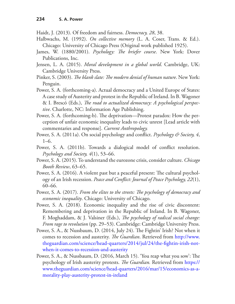Haidt, J. (2013). Of freedom and fairness. *Democracy, 28* , 38.

- Halbwachs, M. (1992). *On collective memory* (L. A. Coser, Trans. & Ed.). Chicago: University of Chicago Press (Original work published 1925).
- James, W. (1880/2001). *Psychology: Te briefer course*. New York: Dover Publications, Inc.
- Jensen, L. A. (2015). *Moral development in a global world*. Cambridge, UK: Cambridge University Press.
- Pinker, S. (2003). *Te blank slate: Te modern denial of human nature*. New York: Penguin.
- Power, S. A. (forthcoming-a). Actual democracy and a United Europe of States: A case study of Austerity and protest in the Republic of Ireland. In B. Wagoner & I. Brescó (Eds.), *Te road to actualized democracy: A psychological perspective*. Charlotte, NC: Information Age Publishing.
- Power, S. A. (forthcoming-b). The deprivation—Protest paradox: How the perception of unfair economic inequality leads to civic unrest [Lead article with commentaries and response]. *Current Anthropology.*
- Power, S. A. (2011a). On social psychology and conflict. *Psychology & Society*, 4, 1–6.
- Power, S. A. (2011b). Towards a dialogical model of confict resolution. *Psychology and Society, 4*(1), 53–66.
- Power, S. A. (2015). To understand the eurozone crisis, consider culture. *Chicago Booth Review*, 63–65.
- Power, S. A. (2016). A violent past but a peaceful present: The cultural psychology of an Irish recession. *Peace and Conflict: Journal of Peace Psychology, 22*(1), 60–66.
- Power, S. A. (2017). *From the elites to the streets: Te psychology of democracy and economic inequality*. Chicago: University of Chicago.
- Power, S. A. (2018). Economic inequality and the rise of civic discontent: Remembering and deprivation in the Republic of Ireland. In B. Wagoner, F. Moghaddam, & J. Valsiner (Eds.), *Te psychology of radical social change: From rage to revolution* (pp. 29–53). Cambridge: Cambridge University Press.
- Power, S. A., & Nussbaum, D. (2014, July 24). The Fightin' Irish? Not when it comes to recession and austerity. *Te Guardian*. Retrieved from http://www. theguardian.com/science/head-quarters/2014/jul/24/the-fghtin-irish-notwhen-it-comes-to-recession-and-austerity
- Power, S. A., & Nussbaum, D. (2016, March 15). 'You reap what you sow': The psychology of Irish austerity protests. *Te Guardian.* Retrieved from https:// www.theguardian.com/science/head-quarters/2016/mar/15/economics-as-amorality-play-austerity-protest-in-ireland